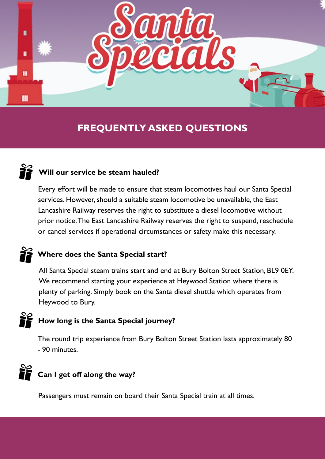

## **FREQUENTLY ASKED QUESTIONS**

## **Will our service be steam hauled?**

Every effort will be made to ensure that steam locomotives haul our Santa Special services. However, should a suitable steam locomotive be unavailable, the East Lancashire Railway reserves the right to substitute a diesel locomotive without prior notice. The East Lancashire Railway reserves the right to suspend, reschedule or cancel services if operational circumstances or safety make this necessary.

## **Where does the Santa Special start?**

All Santa Special steam trains start and end at Bury Bolton Street Station, BL9 0EY. We recommend starting your experience at Heywood Station where there is plenty of parking. Simply book on the Santa diesel shuttle which operates from Heywood to Bury.

## **How long is the Santa Special journey?**

The round trip experience from Bury Bolton Street Station lasts approximately 80 - 90 minutes.

## **Can I get off along the way?**

Passengers must remain on board their Santa Special train at all times.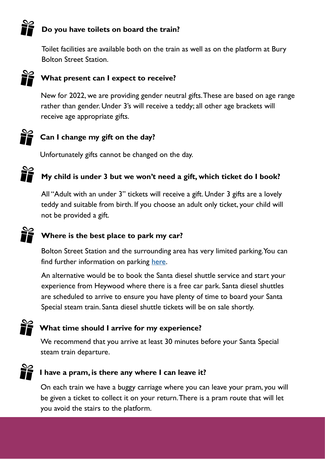## **Do you have toilets on board the train?**

Toilet facilities are available both on the train as well as on the platform at Bury Bolton Street Station.



#### **What present can I expect to receive?**

New for 2022, we are providing gender neutral gifts. These are based on age range rather than gender. Under 3's will receive a teddy; all other age brackets will receive age appropriate gifts.

## **Can I change my gift on the day?**

Unfortunately gifts cannot be changed on the day.

## **My child is under 3 but we won't need a gift, which ticket do I book?**

All "Adult with an under 3" tickets will receive a gift. Under 3 gifts are a lovely teddy and suitable from birth. If you choose an adult only ticket, your child will not be provided a gift.

#### **Where is the best place to park my car?**

Bolton Street Station and the surrounding area has very limited parking. You can find further information on parking [here.](https://www.bury.gov.uk/index.aspx?articleid=11200)

An alternative would be to book the Santa diesel shuttle service and start your experience from Heywood where there is a free car park. Santa diesel shuttles are scheduled to arrive to ensure you have plenty of time to board your Santa Special steam train. Santa diesel shuttle tickets will be on sale shortly.



#### **What time should I arrive for my experience?**

We recommend that you arrive at least 30 minutes before your Santa Special steam train departure.



#### **I have a pram, is there any where I can leave it?**

On each train we have a buggy carriage where you can leave your pram, you will be given a ticket to collect it on your return. There is a pram route that will let you avoid the stairs to the platform.